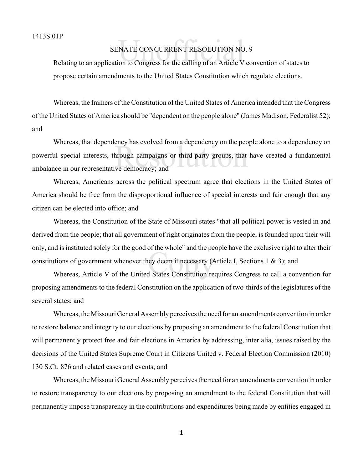## NATE CONCURRENT RESOLUTION NO<br>on to Congress for the calling of an Article V SENATE CONCURRENT RESOLUTION NO. 9

Relating to an application to Congress for the calling of an Article V convention of states to propose certain amendments to the United States Constitution which regulate elections.

Whereas, the framers of the Constitution of the United States of America intended that the Congress of the United States of America should be "dependent on the people alone" (James Madison, Federalist 52); and

ency has evolved from a dependency on the pecture of the set of the pecture of the pecture of the set of the vector of the vector of the vector of the vector of the vector of the vector of the vector of the vector of the v Whereas, that dependency has evolved from a dependency on the people alone to a dependency on powerful special interests, through campaigns or third-party groups, that have created a fundamental imbalance in our representative democracy; and

Whereas, Americans across the political spectrum agree that elections in the United States of America should be free from the disproportional influence of special interests and fair enough that any citizen can be elected into office; and

by the whole and the pe<br>ley deem it necessary (A<br>d States Constitution re Whereas, the Constitution of the State of Missouri states "that all political power is vested in and derived from the people; that all government of right originates from the people, is founded upon their will only, and is instituted solely for the good of the whole" and the people have the exclusive right to alter their constitutions of government whenever they deem it necessary (Article I, Sections 1 & 3); and

Whereas, Article V of the United States Constitution requires Congress to call a convention for proposing amendments to the federal Constitution on the application of two-thirds of the legislatures of the several states; and

Whereas, the Missouri General Assembly perceives the need for an amendments convention in order to restore balance and integrity to our elections by proposing an amendment to the federal Constitution that will permanently protect free and fair elections in America by addressing, inter alia, issues raised by the decisions of the United States Supreme Court in Citizens United v. Federal Election Commission (2010) 130 S.Ct. 876 and related cases and events; and

Whereas, the Missouri General Assembly perceives the need for an amendments convention in order to restore transparency to our elections by proposing an amendment to the federal Constitution that will permanently impose transparency in the contributions and expenditures being made by entities engaged in